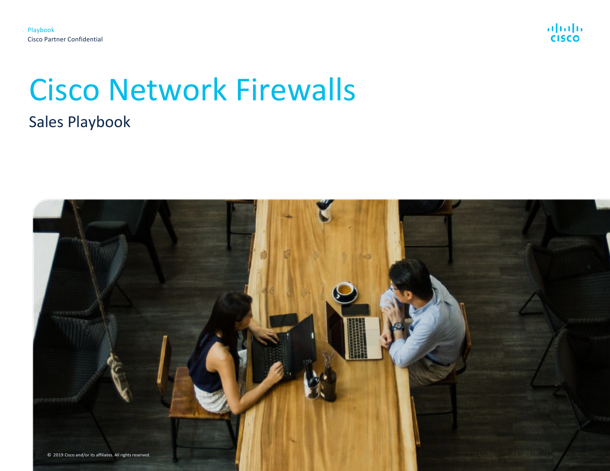

# Cisco Network Firewalls Sales Playbook

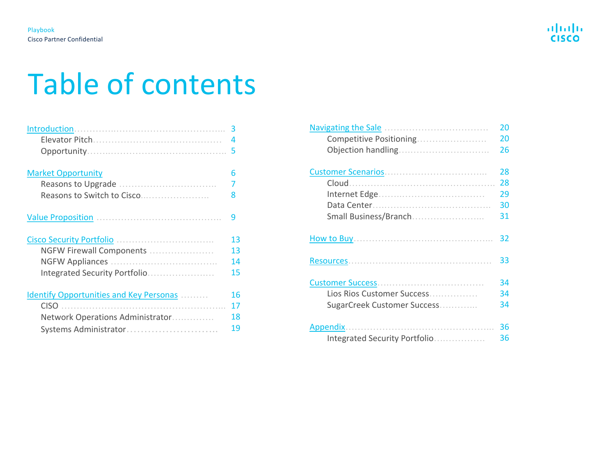# Table of contents

|                                         | 3  |
|-----------------------------------------|----|
|                                         | 4  |
|                                         | 5  |
| <b>Market Opportunity</b>               | 6  |
|                                         | 7  |
| Reasons to Switch to Cisco              | 8  |
|                                         | ٩  |
|                                         | 13 |
| NGFW Firewall Components                | 13 |
|                                         | 14 |
| Integrated Security Portfolio           | 15 |
| Identify Opportunities and Key Personas | 16 |
| <b>CISO</b>                             | 17 |
| Network Operations Administrator        | 18 |
| Systems Administrator                   | 19 |

|                               | 20 |
|-------------------------------|----|
| Competitive Positioning       | 20 |
|                               | 26 |
|                               |    |
|                               | 28 |
|                               | 28 |
|                               | 29 |
|                               | 30 |
| Small Business/Branch         | 31 |
|                               | 32 |
|                               | 33 |
|                               | 34 |
| Lios Rios Customer Success    | 34 |
| SugarCreek Customer Success   | 34 |
|                               |    |
|                               | 36 |
| Integrated Security Portfolio | 36 |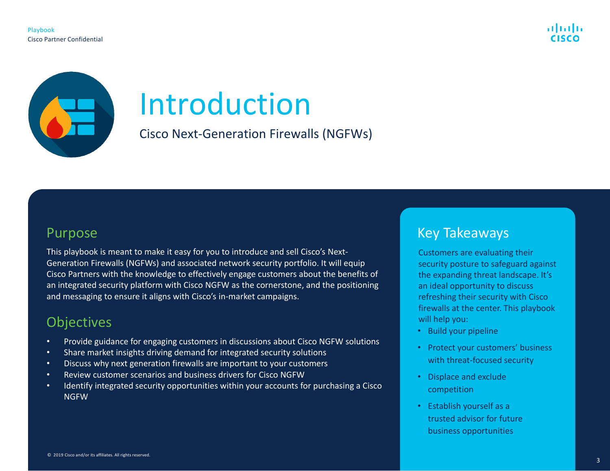

<span id="page-2-0"></span>

# Introduction

Cisco Next-Generation Firewalls (NGFWs)

## Purpose

This playbook is meant to make it easy for you to introduce and sell Cisco's Next-Generation Firewalls (NGFWs) and associated network security portfolio. It will equip Cisco Partners with the knowledge to effectively engage customers about the benefits of an integrated security platform with Cisco NGFW as the cornerstone, and the positioning and messaging to ensure it aligns with Cisco's in-market campaigns.

# **Objectives**

- Provide guidance for engaging customers in discussions about Cisco NGFW solutions
- Share market insights driving demand for integrated security solutions
- Discuss why next generation firewalls are important to your customers
- Review customer scenarios and business drivers for Cisco NGFW
- Identify integrated security opportunities within your accounts for purchasing a Cisco NGFW

## Key Takeaways

Customers are evaluating their security posture to safeguard against the expanding threat landscape. It's an ideal opportunity to discuss refreshing their security with Cisco firewalls at the center. This playbook will help you:

- Build your pipeline
- Protect your customers' business with threat-focused security
- Displace and exclude competition
- Establish yourself as a trusted advisor for future business opportunities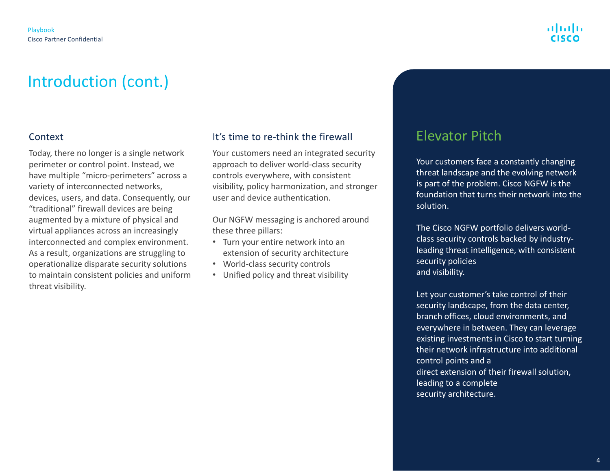# Introduction (cont.)

### Context

Today, there no longer is a single network perimeter or control point. Instead, we have multiple "micro-perimeters" across a variety of interconnected networks, devices, users, and data. Consequently, our "traditional" firewall devices are being augmented by a mixture of physical and virtual appliances across an increasingly interconnected and complex environment. As a result, organizations are struggling to operationalize disparate security solutions to maintain consistent policies and uniform threat visibility.

## It's time to re-think the firewall

Your customers need an integrated security approach to deliver world-class security controls everywhere, with consistent visibility, policy harmonization, and stronger user and device authentication.

Our NGFW messaging is anchored around these three pillars:

- Turn your entire network into an extension of security architecture
- World-class security controls
- Unified policy and threat visibility

## Elevator Pitch

Your customers face a constantly changing threat landscape and the evolving network is part of the problem. Cisco NGFW is the foundation that turns their network into the solution.

The Cisco NGFW portfolio delivers worldclass security controls backed by industryleading threat intelligence, with consistent security policies and visibility.

Let your customer's take control of their security landscape, from the data center, branch offices, cloud environments, and everywhere in between. They can leverage existing investments in Cisco to start turning their network infrastructure into additional control points and a direct extension of their firewall solution, leading to a complete security architecture.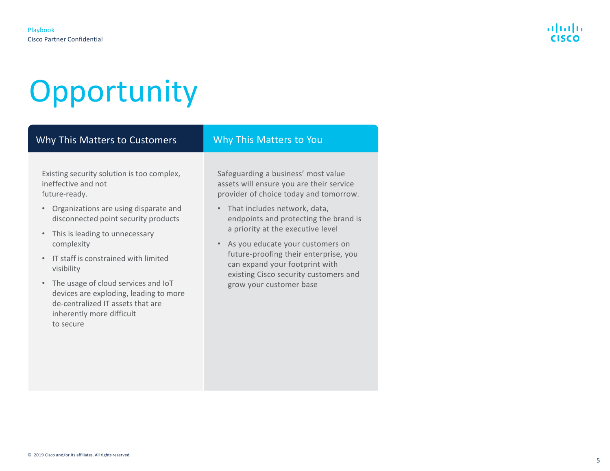# **Opportunity**

## Why This Matters to Customers Why This Matters to You

Existing security solution is too complex, ineffective and not future-ready.

- Organizations are using disparate and disconnected point security products
- This is leading to unnecessary complexity
- IT staff is constrained with limited visibility
- The usage of cloud services and IoT devices are exploding, leading to more de-centralized IT assets that are inherently more difficult to secure

Safeguarding a business' most value assets will ensure you are their service provider of choice today and tomorrow.

- That includes network, data, endpoints and protecting the brand is a priority at the executive level
- As you educate your customers on future-proofing their enterprise, you can expand your footprint with existing Cisco security customers and grow your customer base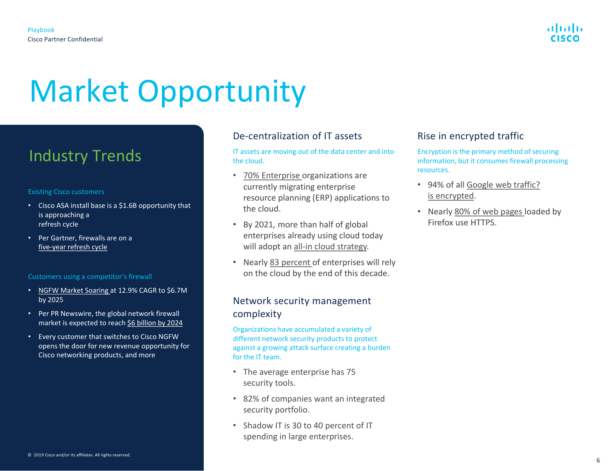# <span id="page-5-0"></span>Market Opportunity

# Industry Trends

#### Existing Cisco customers

- Cisco ASA install base is a \$1.6B opportunity that is approaching a refresh cycle
- Per Gartner, firewalls are on a [five-year refresh cycle](https://www.networkworld.com/article/3236448/what-to-consider-when-deploying-a-next-generation-firewall.html)

#### Customers using a competitor's firewall

- [NGFW Market Soaring](https://www.globenewswire.com/news-release/2019/07/16/1883178/0/en/Next-Generation-Firewall-Market-Soaring-at-12-9-CAGR-to-See-Size-of-6-719-56-Million-by-2025.html) at 12.9% CAGR to \$6.7M by 2025
- Per PR Newswire, the global network firewall market is expected to reach [\\$6 billion by 2024](https://www.prnewswire.com/news-releases/the-global-network-security-firewall-market-size-is-expected-to-reach-6-billion-by-2024--rising-at-a-market-growth-of-12-3-cagr-during-the-forecast-period-300872932.html)
- Every customer that switches to Cisco NGFW opens the door for new revenue opportunity for Cisco networking products, and more

### De-centralization of IT assets

IT assets are moving out of the data center and into the cloud.

- 70% [Enterprise](https://www.infoworld.com/article/3332926/what-you-must-know-about-moving-erp-to-the-cloud.html) organizations are currently migrating enterprise resource planning (ERP) applications to the cloud.
- By 2021, more than half of global enterprises already using cloud today will adopt an [all-in cloud strategy.](https://www.gartner.com/imagesrv/books/cloud/cloud_strategy_leadership.pdf)
- Nearly [83 percent o](https://www.analyticsinsight.net/will-2019-be-a-breakthrough-for-enterprise-cloud-computing/)f enterprises will rely on the cloud by the end of this decade.

#### Network security management complexity

Organizations have accumulated a variety of different network security products to protect against a growing attack surface creating a burden for the IT team.

- The average enterprise has 75 security tools.
- 82% of companies want an integrated security portfolio.
- Shadow IT is 30 to 40 percent of IT spending in large enterprises.

### Rise in encrypted traffic

Encryption is the primary method of securing information, but it consumes firewall processing resources.

- [94% of all Google web traffic?](https://www.cisco.com/c/dam/en/us/solutions/collateral/enterprise-networks/enterprise-network-security/nb-09-encrytd-traf-anlytcs-wp-cte-en.pdf) is encrypted.
- Nearly [80% of web pages l](https://www.cisco.com/c/dam/en/us/solutions/collateral/enterprise-networks/enterprise-network-security/nb-09-encrytd-traf-anlytcs-wp-cte-en.pdf)oaded by Firefox use HTTPS.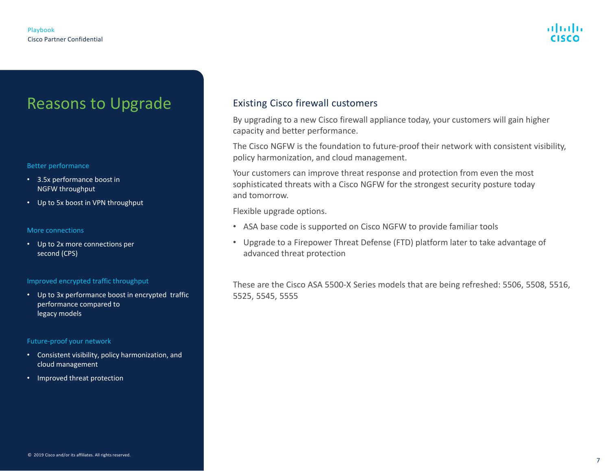# Reasons to Upgrade

#### Better performance

- 3.5x performance boost in NGFW throughput
- Up to 5x boost in VPN throughput

#### More connections

• Up to 2x more connections per second (CPS)

#### Improved encrypted traffic throughput

• Up to 3x performance boost in encrypted traffic performance compared to legacy models

#### Future-proof your network

- Consistent visibility, policy harmonization, and cloud management
- Improved threat protection

### Existing Cisco firewall customers

By upgrading to a new Cisco firewall appliance today, your customers will gain higher capacity and better performance.

The Cisco NGFW is the foundation to future-proof their network with consistent visibility, policy harmonization, and cloud management.

Your customers can improve threat response and protection from even the most sophisticated threats with a Cisco NGFW for the strongest security posture today and tomorrow.

Flexible upgrade options.

- ASA base code is supported on Cisco NGFW to provide familiar tools
- Upgrade to a Firepower Threat Defense (FTD) platform later to take advantage of advanced threat protection

These are the Cisco ASA 5500-X Series models that are being refreshed: 5506, 5508, 5516, 5525, 5545, 5555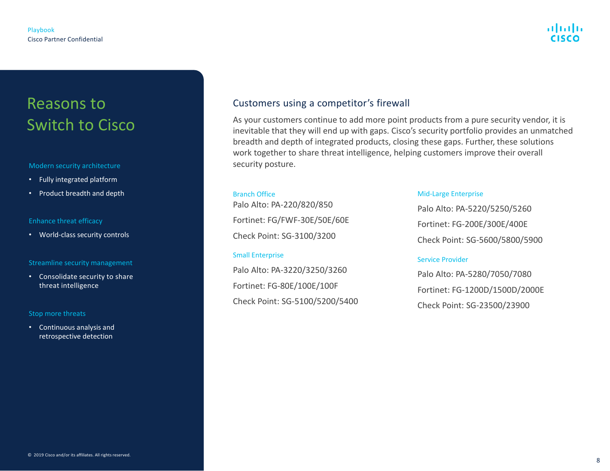# Reasons to Switch to Cisco

#### Modern security architecture

- Fully integrated platform
- Product breadth and depth

#### Enhance threat efficacy

• World-class security controls

#### Streamline security management

• Consolidate security to share threat intelligence

#### Stop more threats

• Continuous analysis and retrospective detection

## Customers using a competitor's firewall

As your customers continue to add more point products from a pure security vendor, it is inevitable that they will end up with gaps. Cisco's security portfolio provides an unmatched breadth and depth of integrated products, closing these gaps. Further, these solutions work together to share threat intelligence, helping customers improve their overall security posture.

#### Branch Office

Palo Alto: PA-220/820/850 Fortinet: FG/FWF-30E/50E/60E Check Point: SG-3100/3200

#### Small Enterprise

Palo Alto: PA-3220/3250/3260 Fortinet: FG-80E/100E/100F Check Point: SG-5100/5200/5400

#### Mid-Large Enterprise

Palo Alto: PA-5220/5250/5260 Fortinet: FG-200E/300E/400E Check Point: SG-5600/5800/5900

#### Service Provider

Palo Alto: PA-5280/7050/7080 Fortinet: FG-1200D/1500D/2000E Check Point: SG-23500/23900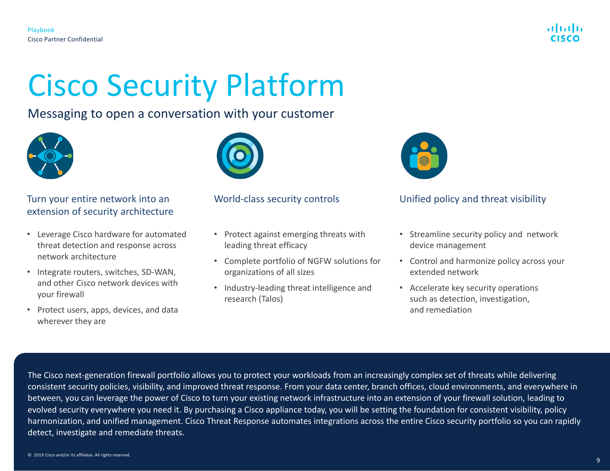

## <span id="page-8-0"></span>Messaging to open a conversation with your customer



## Turn your entire network into an World-class security controls extension of security architecture

- Leverage Cisco hardware for automated threat detection and response across network architecture
- Integrate routers, switches, SD-WAN, and other Cisco network devices with your firewall
- Protect users, apps, devices, and data wherever they are



- Protect against emerging threats with leading threat efficacy
- Complete portfolio of NGFW solutions for organizations of all sizes
- Industry-leading threat intelligence and research (Talos)



## Unified policy and threat visibility

- Streamline security policy and network device management
- Control and harmonize policy across your extended network
- Accelerate key security operations such as detection, investigation, and remediation

The Cisco next-generation firewall portfolio allows you to protect your workloads from an increasingly complex set of threats while delivering consistent security policies, visibility, and improved threat response. From your data center, branch offices, cloud environments, and everywhere in between, you can leverage the power of Cisco to turn your existing network infrastructure into an extension of your firewall solution, leading to evolved security everywhere you need it. By purchasing a Cisco appliance today, you will be setting the foundation for consistent visibility, policy harmonization, and unified management. Cisco Threat Response automates integrations across the entire Cisco security portfolio so you can rapidly detect, investigate and remediate threats.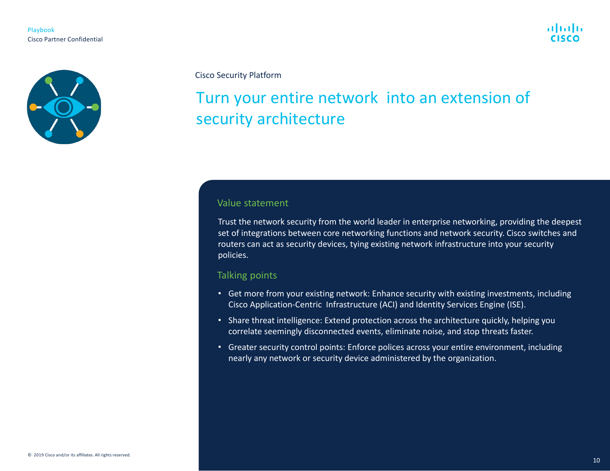



# Turn your entire network into an extension of security architecture

#### Value statement

Trust the network security from the world leader in enterprise networking, providing the deepest set of integrations between core networking functions and network security. Cisco switches and routers can act as security devices, tying existing network infrastructure into your security policies.

#### Talking points

- Get more from your existing network: Enhance security with existing investments, including Cisco Application-Centric Infrastructure (ACI) and Identity Services Engine (ISE).
- Share threat intelligence: Extend protection across the architecture quickly, helping you correlate seemingly disconnected events, eliminate noise, and stop threats faster.
- Greater security control points: Enforce polices across your entire environment, including nearly any network or security device administered by the organization.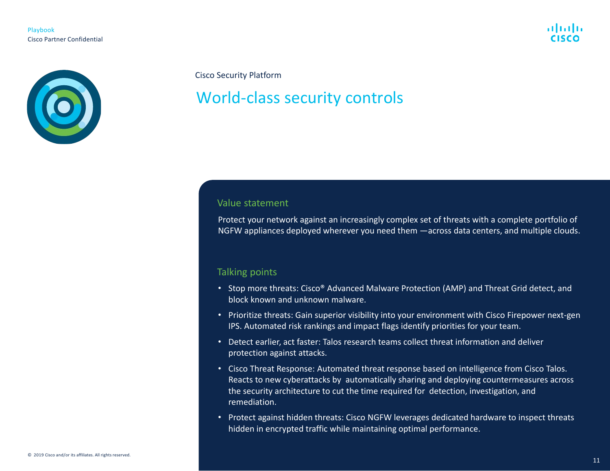



# World-class security controls

#### Value statement

Protect your network against an increasingly complex set of threats with a complete portfolio of NGFW appliances deployed wherever you need them —across data centers, and multiple clouds.

#### Talking points

- Stop more threats: Cisco® Advanced Malware Protection (AMP) and Threat Grid detect, and block known and unknown malware.
- Prioritize threats: Gain superior visibility into your environment with Cisco Firepower next-gen IPS. Automated risk rankings and impact flags identify priorities for your team.
- Detect earlier, act faster: Talos research teams collect threat information and deliver protection against attacks.
- Cisco Threat Response: Automated threat response based on intelligence from Cisco Talos. Reacts to new cyberattacks by automatically sharing and deploying countermeasures across the security architecture to cut the time required for detection, investigation, and remediation.
- Protect against hidden threats: Cisco NGFW leverages dedicated hardware to inspect threats hidden in encrypted traffic while maintaining optimal performance.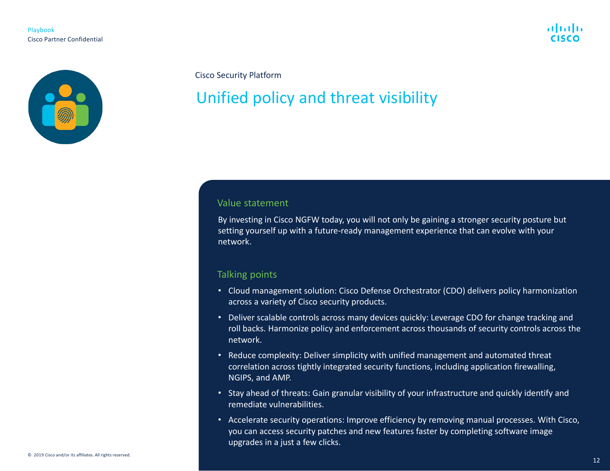



# Unified policy and threat visibility

#### Value statement

By investing in Cisco NGFW today, you will not only be gaining a stronger security posture but setting yourself up with a future-ready management experience that can evolve with your network.

#### Talking points

- Cloud management solution: Cisco Defense Orchestrator (CDO) delivers policy harmonization across a variety of Cisco security products.
- Deliver scalable controls across many devices quickly: Leverage CDO for change tracking and roll backs. Harmonize policy and enforcement across thousands of security controls across the network.
- Reduce complexity: Deliver simplicity with unified management and automated threat correlation across tightly integrated security functions, including application firewalling, NGIPS, and AMP.
- Stay ahead of threats: Gain granular visibility of your infrastructure and quickly identify and remediate vulnerabilities.
- Accelerate security operations: Improve efficiency by removing manual processes. With Cisco, you can access security patches and new features faster by completing software image upgrades in a just a few clicks.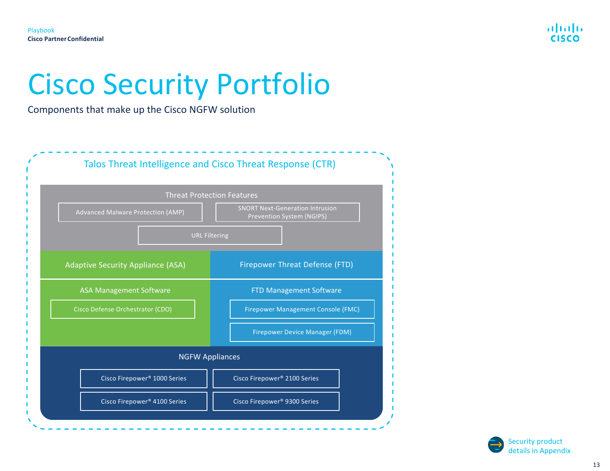

# <span id="page-12-0"></span>Cisco Security Portfolio

Components that make up the Cisco NGFW solution



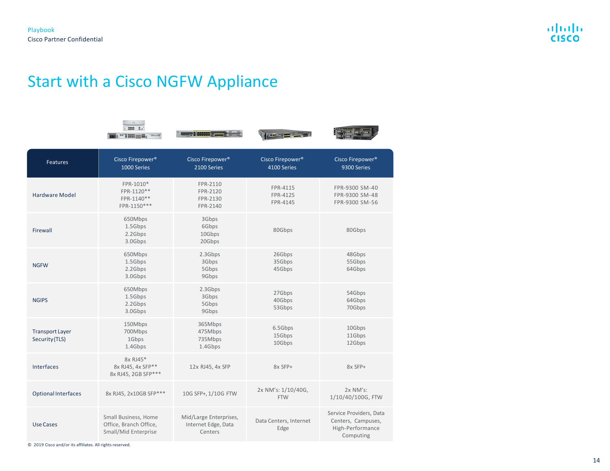# Start with a Cisco NGFW Appliance

| ٠            |
|--------------|
|              |
| 120,000<br>٠ |



 $\mathcal{N}$  or  $\mathbf{m}$  , we set



| Features                                 | Cisco Firepower <sup>®</sup><br>1000 Series                            | Cisco Firepower <sup>®</sup><br>2100 Series              | Cisco Firepower <sup>®</sup><br>4100 Series | Cisco Firepower <sup>®</sup><br>9300 Series                                    |
|------------------------------------------|------------------------------------------------------------------------|----------------------------------------------------------|---------------------------------------------|--------------------------------------------------------------------------------|
| Hardware Model                           | FPR-1010*<br>FPR-1120**<br>FPR-1140**<br>FPR-1150***                   | FPR-2110<br>FPR-2120<br>FPR-2130<br>FPR-2140             | FPR-4115<br>FPR-4125<br>FPR-4145            | FPR-9300 SM-40<br>FPR-9300 SM-48<br>FPR-9300 SM-56                             |
| Firewall                                 | 650Mbps<br>1.5Gbps<br>2.2Gbps<br>3.0Gbps                               | 3Gbps<br>6Gbps<br>10Gbps<br>20Gbps                       | 80Gbps                                      | 80Gbps                                                                         |
| <b>NGFW</b>                              | 650Mbps<br>1.5Gbps<br>2.2Gbps<br>3.0Gbps                               | 2.3Gbps<br>3Gbps<br>5Gbps<br>9Gbps                       | 26Gbps<br>35Gbps<br>45Gbps                  | 48Gbps<br>55Gbps<br>64Gbps                                                     |
| <b>NGIPS</b>                             | 650Mbps<br>1.5Gbps<br>2.2Gbps<br>3.0Gbps                               | 2.3Gbps<br>3Gbps<br>5Gbps<br>9Gbps                       | 27Gbps<br>40Gbps<br>53Gbps                  | 54Gbps<br>64Gbps<br>70Gbps                                                     |
| <b>Transport Layer</b><br>Security (TLS) | 150Mbps<br>700Mbps<br>1Gbps<br>1.4Gbps                                 | 365Mbps<br>475Mbps<br>735Mbps<br>1.4Gbps                 | 6.5Gbps<br>15Gbps<br>10Gbps                 | 10Gbps<br>11Gbps<br>12Gbps                                                     |
| Interfaces                               | 8x RJ45*<br>8x RJ45, 4x SFP**<br>8x RJ45, 2GB SFP***                   | 12x RJ45, 4x SFP                                         | 8x SFP+                                     | 8x SFP+                                                                        |
| <b>Optional Interfaces</b>               | 8x RJ45, 2x10GB SFP***                                                 | 10G SFP+, 1/10G FTW                                      | 2x NM's: 1/10/40G,<br><b>FTW</b>            | $2x$ NM's:<br>1/10/40/100G, FTW                                                |
| <b>Use Cases</b>                         | Small Business, Home<br>Office, Branch Office,<br>Small/Mid Enterprise | Mid/Large Enterprises,<br>Internet Edge, Data<br>Centers | Data Centers, Internet<br>Edge              | Service Providers, Data<br>Centers, Campuses,<br>High-Performance<br>Computing |

© 2019 Cisco and/or its affiliates. All rights reserved.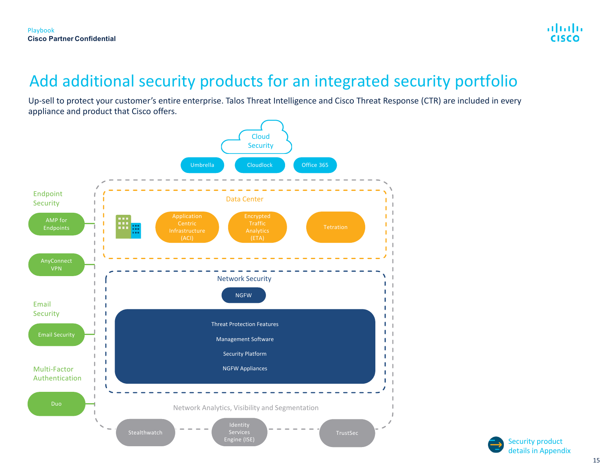# Add additional security products for an integrated security portfolio

Up-sell to protect your customer's entire enterprise. Talos Threat Intelligence and Cisco Threat Response (CTR) are included in every appliance and product that Cisco offers.



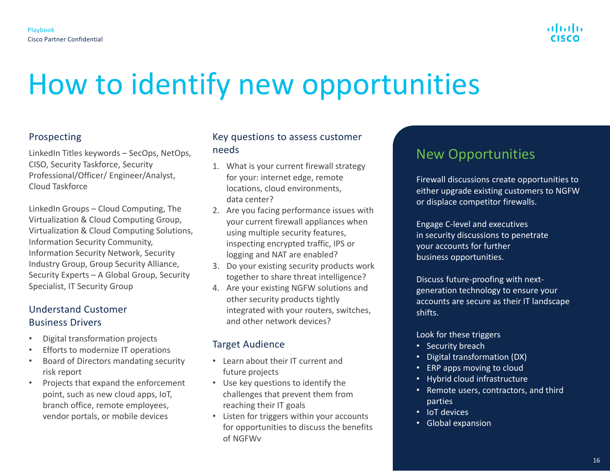

# <span id="page-15-0"></span>How to identify new opportunities

## Prospecting

LinkedIn Titles keywords – SecOps, NetOps, CISO, Security Taskforce, Security Professional/Officer/ Engineer/Analyst, Cloud Taskforce

LinkedIn Groups – Cloud Computing, The Virtualization & Cloud Computing Group, Virtualization & Cloud Computing Solutions, Information Security Community, Information Security Network, Security Industry Group, Group Security Alliance, Security Experts – A Global Group, Security Specialist, IT Security Group

## Understand Customer Business Drivers

- Digital transformation projects
- Efforts to modernize IT operations
- Board of Directors mandating security risk report
- Projects that expand the enforcement point, such as new cloud apps, IoT, branch office, remote employees, vendor portals, or mobile devices

## Key questions to assess customer needs

- 1. What is your current firewall strategy for your: internet edge, remote locations, cloud environments, data center?
- 2. Are you facing performance issues with your current firewall appliances when using multiple security features, inspecting encrypted traffic, IPS or logging and NAT are enabled?
- 3. Do your existing security products work together to share threat intelligence?
- 4. Are your existing NGFW solutions and other security products tightly integrated with your routers, switches, and other network devices?

## Target Audience

- Learn about their IT current and future projects
- Use key questions to identify the challenges that prevent them from reaching their IT goals
- Listen for triggers within your accounts for opportunities to discuss the benefits of NGFWv

# New Opportunities

Firewall discussions create opportunities to either upgrade existing customers to NGFW or displace competitor firewalls.

Engage C-level and executives in security discussions to penetrate your accounts for further business opportunities.

Discuss future-proofing with nextgeneration technology to ensure your accounts are secure as their IT landscape shifts.

Look for these triggers

- Security breach
- Digital transformation (DX)
- ERP apps moving to cloud
- Hybrid cloud infrastructure
- Remote users, contractors, and third parties
- IoT devices
- Global expansion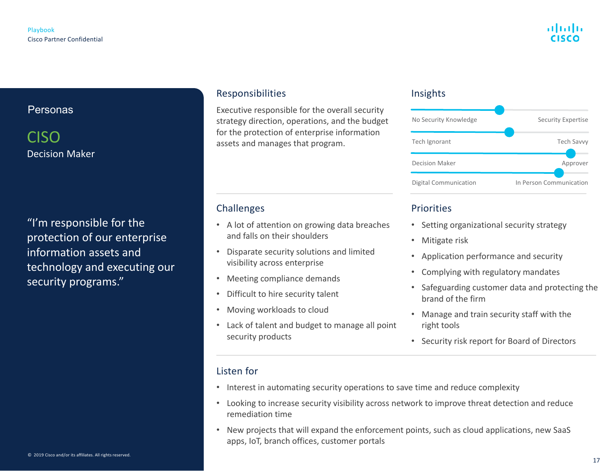## Personas

## CISO Decision Maker

"I'm responsible for the protection of our enterprise information assets and technology and executing our security programs."

### Responsibilities

Executive responsible for the overall security strategy direction, operations, and the budget for the protection of enterprise information assets and manages that program.

## Challenges

- A lot of attention on growing data breaches and falls on their shoulders
- Disparate security solutions and limited visibility across enterprise
- Meeting compliance demands
- Difficult to hire security talent
- Moving workloads to cloud
- Lack of talent and budget to manage all point security products

### Insights



## **Priorities**

- Setting organizational security strategy
- Mitigate risk
- Application performance and security
- Complying with regulatory mandates
- Safeguarding customer data and protecting the brand of the firm
- Manage and train security staff with the right tools
- Security risk report for Board of Directors

## Listen for

- Interest in automating security operations to save time and reduce complexity
- Looking to increase security visibility across network to improve threat detection and reduce remediation time
- New projects that will expand the enforcement points, such as cloud applications, new SaaS apps, IoT, branch offices, customer portals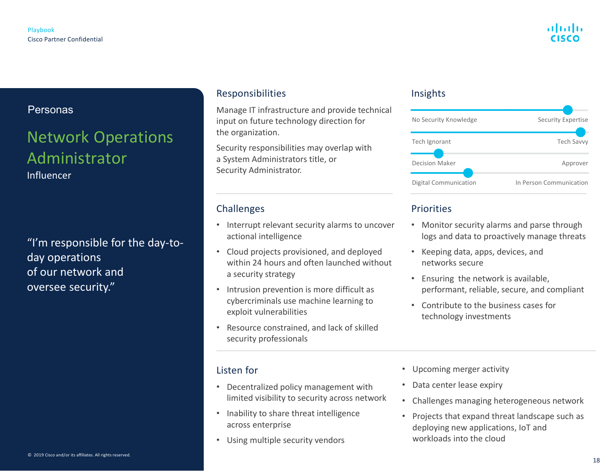## Personas

# Network Operations Administrator

Influencer

"I'm responsible for the day-today operations of our network and oversee security."

## Responsibilities

Manage IT infrastructure and provide technical input on future technology direction for the organization.

Security responsibilities may overlap with a System Administrators title, or Security Administrator.

## Challenges

- Interrupt relevant security alarms to uncover actional intelligence
- Cloud projects provisioned, and deployed within 24 hours and often launched without a security strategy
- Intrusion prevention is more difficult as cybercriminals use machine learning to exploit vulnerabilities
- Resource constrained, and lack of skilled security professionals

## Listen for

- Decentralized policy management with limited visibility to security across network
- Inability to share threat intelligence across enterprise
- Using multiple security vendors

### Insights



## Priorities

- Monitor security alarms and parse through logs and data to proactively manage threats
- Keeping data, apps, devices, and networks secure
- Ensuring the network is available, performant, reliable, secure, and compliant
- Contribute to the business cases for technology investments
- Upcoming merger activity
- Data center lease expiry
- Challenges managing heterogeneous network
- Projects that expand threat landscape such as deploying new applications, IoT and workloads into the cloud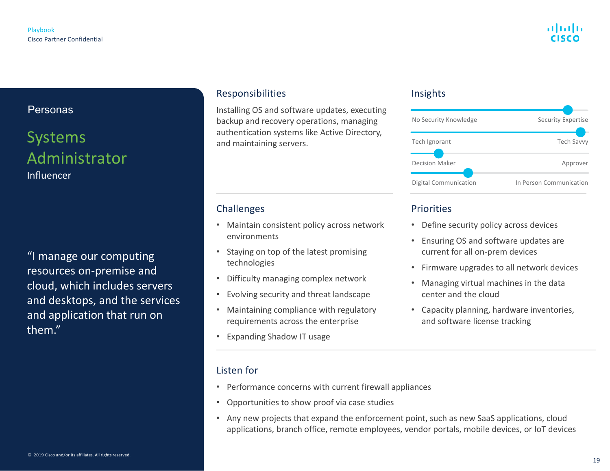## Personas

# Systems Administrator Influencer

"I manage our computing resources on-premise and cloud, which includes servers and desktops, and the services and application that run on them."

## Responsibilities

Installing OS and software updates, executing backup and recovery operations, managing authentication systems like Active Directory, and maintaining servers.

## Challenges

- Maintain consistent policy across network environments
- Staying on top of the latest promising technologies
- Difficulty managing complex network
- Evolving security and threat landscape
- Maintaining compliance with regulatory requirements across the enterprise
- Expanding Shadow IT usage

## Listen for

- Performance concerns with current firewall appliances
- Opportunities to show proof via case studies
- Any new projects that expand the enforcement point, such as new SaaS applications, cloud applications, branch office, remote employees, vendor portals, mobile devices, or IoT devices

### Insights



## Priorities

- Define security policy across devices
- Ensuring OS and software updates are current for all on-prem devices
- Firmware upgrades to all network devices
- Managing virtual machines in the data center and the cloud
- Capacity planning, hardware inventories, and software license tracking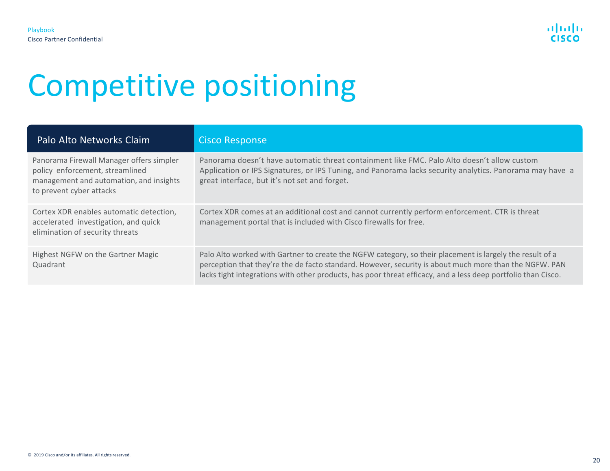<span id="page-19-0"></span>

| Palo Alto Networks Claim                                                                                                                           | <b>Cisco Response</b>                                                                                                                                                                                                                                                                                                               |
|----------------------------------------------------------------------------------------------------------------------------------------------------|-------------------------------------------------------------------------------------------------------------------------------------------------------------------------------------------------------------------------------------------------------------------------------------------------------------------------------------|
| Panorama Firewall Manager offers simpler<br>policy enforcement, streamlined<br>management and automation, and insights<br>to prevent cyber attacks | Panorama doesn't have automatic threat containment like FMC. Palo Alto doesn't allow custom<br>Application or IPS Signatures, or IPS Tuning, and Panorama lacks security analytics. Panorama may have a<br>great interface, but it's not set and forget.                                                                            |
| Cortex XDR enables automatic detection,<br>accelerated investigation, and quick<br>elimination of security threats                                 | Cortex XDR comes at an additional cost and cannot currently perform enforcement. CTR is threat<br>management portal that is included with Cisco firewalls for free.                                                                                                                                                                 |
| Highest NGFW on the Gartner Magic<br>Quadrant                                                                                                      | Palo Alto worked with Gartner to create the NGFW category, so their placement is largely the result of a<br>perception that they're the de facto standard. However, security is about much more than the NGFW. PAN<br>lacks tight integrations with other products, has poor threat efficacy, and a less deep portfolio than Cisco. |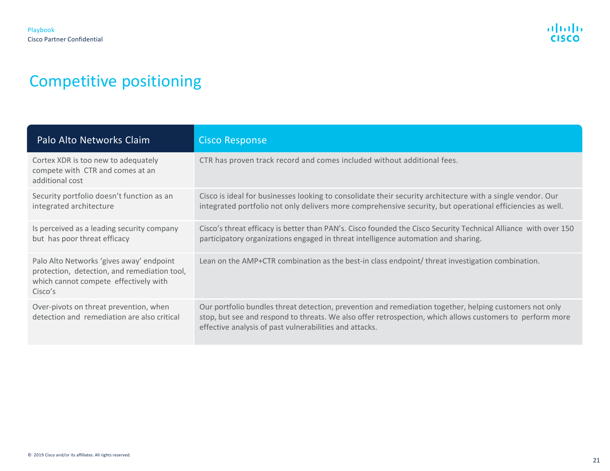| Palo Alto Networks Claim                                                                                                                     | <b>Cisco Response</b>                                                                                                                                                                                                                                                           |
|----------------------------------------------------------------------------------------------------------------------------------------------|---------------------------------------------------------------------------------------------------------------------------------------------------------------------------------------------------------------------------------------------------------------------------------|
| Cortex XDR is too new to adequately<br>compete with CTR and comes at an<br>additional cost                                                   | CTR has proven track record and comes included without additional fees.                                                                                                                                                                                                         |
| Security portfolio doesn't function as an<br>integrated architecture                                                                         | Cisco is ideal for businesses looking to consolidate their security architecture with a single vendor. Our<br>integrated portfolio not only delivers more comprehensive security, but operational efficiencies as well.                                                         |
| Is perceived as a leading security company<br>but has poor threat efficacy                                                                   | Cisco's threat efficacy is better than PAN's. Cisco founded the Cisco Security Technical Alliance with over 150<br>participatory organizations engaged in threat intelligence automation and sharing.                                                                           |
| Palo Alto Networks 'gives away' endpoint<br>protection, detection, and remediation tool,<br>which cannot compete effectively with<br>Cisco's | Lean on the AMP+CTR combination as the best-in class endpoint/ threat investigation combination.                                                                                                                                                                                |
| Over-pivots on threat prevention, when<br>detection and remediation are also critical                                                        | Our portfolio bundles threat detection, prevention and remediation together, helping customers not only<br>stop, but see and respond to threats. We also offer retrospection, which allows customers to perform more<br>effective analysis of past vulnerabilities and attacks. |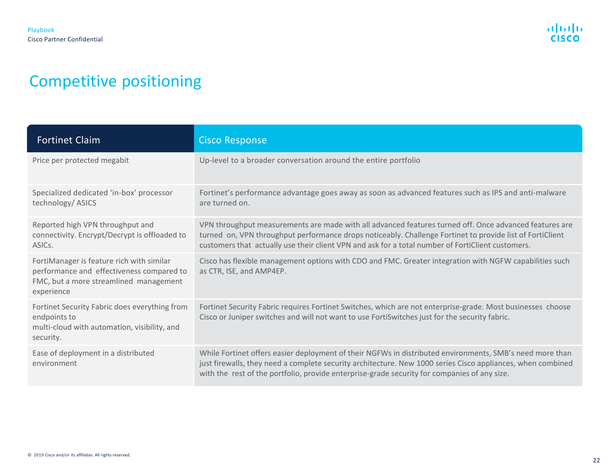| <b>Fortinet Claim</b>                                                                                                                          | <b>Cisco Response</b>                                                                                                                                                                                                                                                                                                    |
|------------------------------------------------------------------------------------------------------------------------------------------------|--------------------------------------------------------------------------------------------------------------------------------------------------------------------------------------------------------------------------------------------------------------------------------------------------------------------------|
| Price per protected megabit                                                                                                                    | Up-level to a broader conversation around the entire portfolio                                                                                                                                                                                                                                                           |
| Specialized dedicated 'in-box' processor<br>technology/ ASICS                                                                                  | Fortinet's performance advantage goes away as soon as advanced features such as IPS and anti-malware<br>are turned on.                                                                                                                                                                                                   |
| Reported high VPN throughput and<br>connectivity. Encrypt/Decrypt is offloaded to<br>ASIC <sub>s</sub> .                                       | VPN throughput measurements are made with all advanced features turned off. Once advanced features are<br>turned on, VPN throughput performance drops noticeably. Challenge Fortinet to provide list of FortiClient<br>customers that actually use their client VPN and ask for a total number of FortiClient customers. |
| FortiManager is feature rich with similar<br>performance and effectiveness compared to<br>FMC, but a more streamlined management<br>experience | Cisco has flexible management options with CDO and FMC. Greater integration with NGFW capabilities such<br>as CTR, ISE, and AMP4EP.                                                                                                                                                                                      |
| Fortinet Security Fabric does everything from<br>endpoints to<br>multi-cloud with automation, visibility, and<br>security.                     | Fortinet Security Fabric requires Fortinet Switches, which are not enterprise-grade. Most businesses choose<br>Cisco or Juniper switches and will not want to use FortiSwitches just for the security fabric.                                                                                                            |
| Ease of deployment in a distributed<br>environment                                                                                             | While Fortinet offers easier deployment of their NGFWs in distributed environments, SMB's need more than<br>just firewalls, they need a complete security architecture. New 1000 series Cisco appliances, when combined<br>with the rest of the portfolio, provide enterprise-grade security for companies of any size.  |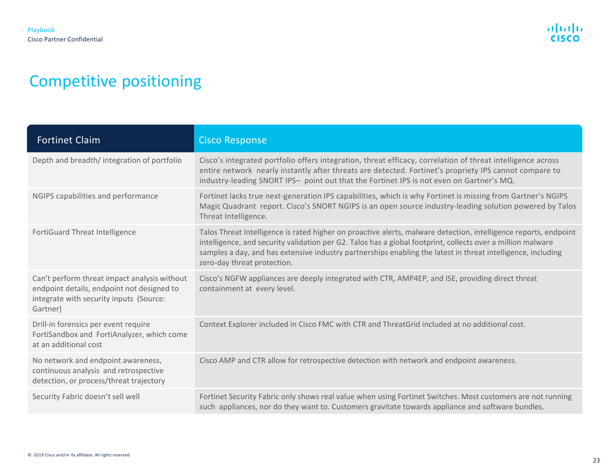| <b>Fortinet Claim</b>                                                                                                                             | <b>Cisco Response</b>                                                                                                                                                                                                                                                                                                                                                          |
|---------------------------------------------------------------------------------------------------------------------------------------------------|--------------------------------------------------------------------------------------------------------------------------------------------------------------------------------------------------------------------------------------------------------------------------------------------------------------------------------------------------------------------------------|
| Depth and breadth/integration of portfolio                                                                                                        | Cisco's integrated portfolio offers integration, threat efficacy, correlation of threat intelligence across<br>entire network nearly instantly after threats are detected. Fortinet's propriety IPS cannot compare to<br>industry-leading SNORT IPS- point out that the Fortinet IPS is not even on Gartner's MQ.                                                              |
| NGIPS capabilities and performance                                                                                                                | Fortinet lacks true next-generation IPS capabilities, which is why Fortinet is missing from Gartner's NGIPS<br>Magic Quadrant report. Cisco's SNORT NGIPS is an open source industry-leading solution powered by Talos<br>Threat Intelligence.                                                                                                                                 |
| FortiGuard Threat Intelligence                                                                                                                    | Talos Threat Intelligence is rated higher on proactive alerts, malware detection, intelligence reports, endpoint<br>intelligence, and security validation per G2. Talos has a global footprint, collects over a million malware<br>samples a day, and has extensive industry partnerships enabling the latest in threat intelligence, including<br>zero-day threat protection. |
| Can't perform threat impact analysis without<br>endpoint details, endpoint not designed to<br>integrate with security inputs (Source:<br>Gartner) | Cisco's NGFW appliances are deeply integrated with CTR, AMP4EP, and ISE, providing direct threat<br>containment at every level.                                                                                                                                                                                                                                                |
| Drill-in forensics per event require<br>FortiSandbox and FortiAnalyzer, which come<br>at an additional cost                                       | Context Explorer included in Cisco FMC with CTR and ThreatGrid included at no additional cost.                                                                                                                                                                                                                                                                                 |
| No network and endpoint awareness,<br>continuous analysis and retrospective<br>detection, or process/threat trajectory                            | Cisco AMP and CTR allow for retrospective detection with network and endpoint awareness.                                                                                                                                                                                                                                                                                       |
| Security Fabric doesn't sell well                                                                                                                 | Fortinet Security Fabric only shows real value when using Fortinet Switches. Most customers are not running<br>such appliances, nor do they want to. Customers gravitate towards appliance and software bundles.                                                                                                                                                               |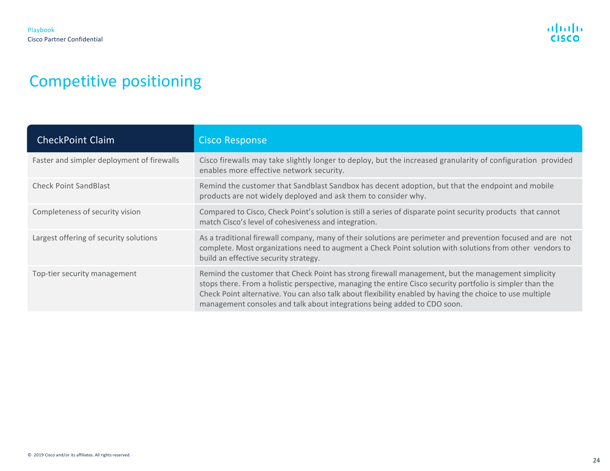| <b>CheckPoint Claim</b>                    | <b>Cisco Response</b>                                                                                                                                                                                                                                                                                                                                                                                     |
|--------------------------------------------|-----------------------------------------------------------------------------------------------------------------------------------------------------------------------------------------------------------------------------------------------------------------------------------------------------------------------------------------------------------------------------------------------------------|
| Faster and simpler deployment of firewalls | Cisco firewalls may take slightly longer to deploy, but the increased granularity of configuration provided<br>enables more effective network security.                                                                                                                                                                                                                                                   |
| <b>Check Point SandBlast</b>               | Remind the customer that Sandblast Sandbox has decent adoption, but that the endpoint and mobile<br>products are not widely deployed and ask them to consider why.                                                                                                                                                                                                                                        |
| Completeness of security vision            | Compared to Cisco, Check Point's solution is still a series of disparate point security products that cannot<br>match Cisco's level of cohesiveness and integration.                                                                                                                                                                                                                                      |
| Largest offering of security solutions     | As a traditional firewall company, many of their solutions are perimeter and prevention focused and are not<br>complete. Most organizations need to augment a Check Point solution with solutions from other vendors to<br>build an effective security strategy.                                                                                                                                          |
| Top-tier security management               | Remind the customer that Check Point has strong firewall management, but the management simplicity<br>stops there. From a holistic perspective, managing the entire Cisco security portfolio is simpler than the<br>Check Point alternative. You can also talk about flexibility enabled by having the choice to use multiple<br>management consoles and talk about integrations being added to CDO soon. |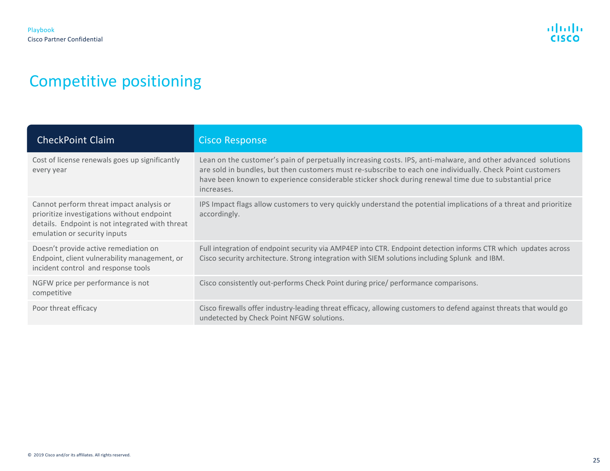| <b>CheckPoint Claim</b>                                                                                                                                                   | <b>Cisco Response</b>                                                                                                                                                                                                                                                                                                                            |
|---------------------------------------------------------------------------------------------------------------------------------------------------------------------------|--------------------------------------------------------------------------------------------------------------------------------------------------------------------------------------------------------------------------------------------------------------------------------------------------------------------------------------------------|
| Cost of license renewals goes up significantly<br>every year                                                                                                              | Lean on the customer's pain of perpetually increasing costs. IPS, anti-malware, and other advanced solutions<br>are sold in bundles, but then customers must re-subscribe to each one individually. Check Point customers<br>have been known to experience considerable sticker shock during renewal time due to substantial price<br>increases. |
| Cannot perform threat impact analysis or<br>prioritize investigations without endpoint<br>details. Endpoint is not integrated with threat<br>emulation or security inputs | IPS Impact flags allow customers to very quickly understand the potential implications of a threat and prioritize<br>accordingly.                                                                                                                                                                                                                |
| Doesn't provide active remediation on<br>Endpoint, client vulnerability management, or<br>incident control and response tools                                             | Full integration of endpoint security via AMP4EP into CTR. Endpoint detection informs CTR which updates across<br>Cisco security architecture. Strong integration with SIEM solutions including Splunk and IBM.                                                                                                                                  |
| NGFW price per performance is not<br>competitive                                                                                                                          | Cisco consistently out-performs Check Point during price/ performance comparisons.                                                                                                                                                                                                                                                               |
| Poor threat efficacy                                                                                                                                                      | Cisco firewalls offer industry-leading threat efficacy, allowing customers to defend against threats that would go<br>undetected by Check Point NFGW solutions.                                                                                                                                                                                  |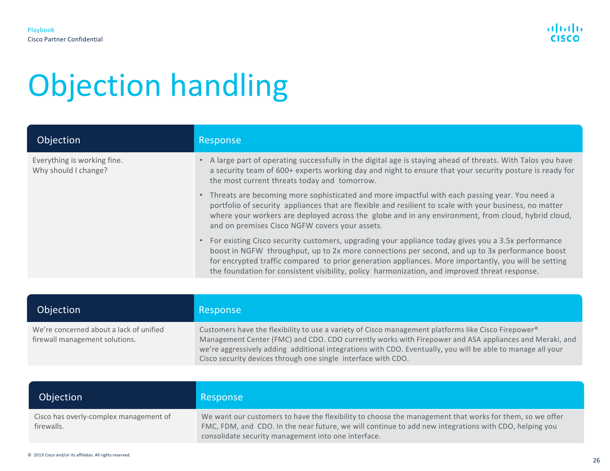# Objection handling

| Objection                                           | Response                                                                                                                                                                                                                                                                                                                                                                                                        |
|-----------------------------------------------------|-----------------------------------------------------------------------------------------------------------------------------------------------------------------------------------------------------------------------------------------------------------------------------------------------------------------------------------------------------------------------------------------------------------------|
| Everything is working fine.<br>Why should I change? | • A large part of operating successfully in the digital age is staying ahead of threats. With Talos you have<br>a security team of 600+ experts working day and night to ensure that your security posture is ready for<br>the most current threats today and tomorrow.                                                                                                                                         |
|                                                     | • Threats are becoming more sophisticated and more impactful with each passing year. You need a<br>portfolio of security appliances that are flexible and resilient to scale with your business, no matter<br>where your workers are deployed across the globe and in any environment, from cloud, hybrid cloud,<br>and on premises Cisco NGFW covers your assets.                                              |
|                                                     | • For existing Cisco security customers, upgrading your appliance today gives you a 3.5x performance<br>boost in NGFW throughput, up to 2x more connections per second, and up to 3x performance boost<br>for encrypted traffic compared to prior generation appliances. More importantly, you will be setting<br>the foundation for consistent visibility, policy harmonization, and improved threat response. |
|                                                     |                                                                                                                                                                                                                                                                                                                                                                                                                 |

| Objection                                                                 | Response                                                                                                                                                                                                                                                                                                                                                                                      |
|---------------------------------------------------------------------------|-----------------------------------------------------------------------------------------------------------------------------------------------------------------------------------------------------------------------------------------------------------------------------------------------------------------------------------------------------------------------------------------------|
| We're concerned about a lack of unified<br>firewall management solutions. | Customers have the flexibility to use a variety of Cisco management platforms like Cisco Firepower®<br>Management Center (FMC) and CDO. CDO currently works with Firepower and ASA appliances and Meraki, and<br>we're aggressively adding additional integrations with CDO. Eventually, you will be able to manage all your<br>Cisco security devices through one single interface with CDO. |

| Objection                                            | Response                                                                                                                                                                                                                                                                |
|------------------------------------------------------|-------------------------------------------------------------------------------------------------------------------------------------------------------------------------------------------------------------------------------------------------------------------------|
| Cisco has overly-complex management of<br>firewalls. | We want our customers to have the flexibility to choose the management that works for them, so we offer<br>FMC, FDM, and CDO. In the near future, we will continue to add new integrations with CDO, helping you<br>consolidate security management into one interface. |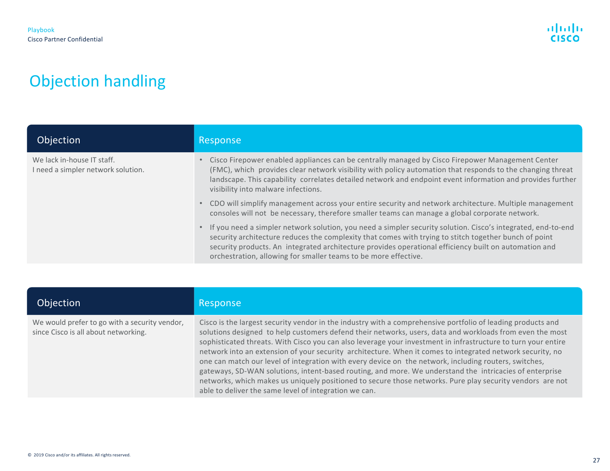# Objection handling

| Objection                                                        | Response                                                                                                                                                                                                                                                                                                                                                                                          |
|------------------------------------------------------------------|---------------------------------------------------------------------------------------------------------------------------------------------------------------------------------------------------------------------------------------------------------------------------------------------------------------------------------------------------------------------------------------------------|
| We lack in-house IT staff.<br>I need a simpler network solution. | Cisco Firepower enabled appliances can be centrally managed by Cisco Firepower Management Center<br>(FMC), which provides clear network visibility with policy automation that responds to the changing threat<br>landscape. This capability correlates detailed network and endpoint event information and provides further<br>visibility into malware infections.                               |
|                                                                  | CDO will simplify management across your entire security and network architecture. Multiple management<br>$\bullet$<br>consoles will not be necessary, therefore smaller teams can manage a global corporate network.                                                                                                                                                                             |
|                                                                  | If you need a simpler network solution, you need a simpler security solution. Cisco's integrated, end-to-end<br>security architecture reduces the complexity that comes with trying to stitch together bunch of point<br>security products. An integrated architecture provides operational efficiency built on automation and<br>orchestration, allowing for smaller teams to be more effective. |

| Objection                                                                             | Response                                                                                                                                                                                                                                                                                                                                                                                                                                                                                                                                                                                                                                                                                                                                                                                                                                        |
|---------------------------------------------------------------------------------------|-------------------------------------------------------------------------------------------------------------------------------------------------------------------------------------------------------------------------------------------------------------------------------------------------------------------------------------------------------------------------------------------------------------------------------------------------------------------------------------------------------------------------------------------------------------------------------------------------------------------------------------------------------------------------------------------------------------------------------------------------------------------------------------------------------------------------------------------------|
| We would prefer to go with a security vendor,<br>since Cisco is all about networking. | Cisco is the largest security vendor in the industry with a comprehensive portfolio of leading products and<br>solutions designed to help customers defend their networks, users, data and workloads from even the most<br>sophisticated threats. With Cisco you can also leverage your investment in infrastructure to turn your entire<br>network into an extension of your security architecture. When it comes to integrated network security, no<br>one can match our level of integration with every device on the network, including routers, switches,<br>gateways, SD-WAN solutions, intent-based routing, and more. We understand the intricacies of enterprise<br>networks, which makes us uniquely positioned to secure those networks. Pure play security vendors are not<br>able to deliver the same level of integration we can. |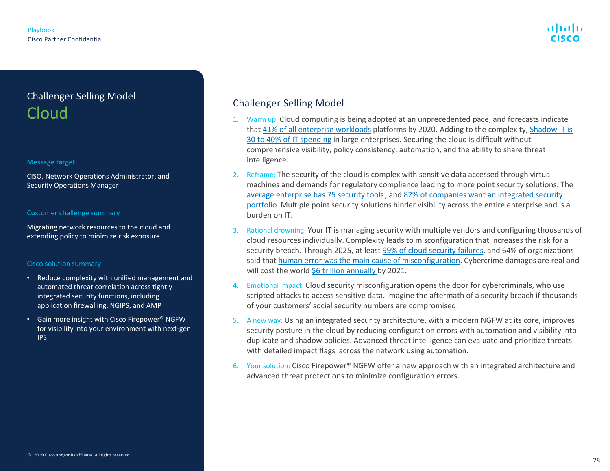# <span id="page-27-0"></span>Challenger Selling Model Cloud

#### Message target

CISO, Network Operations Administrator, and Security Operations Manager

#### Customer challenge summary

Migrating network resources to the cloud and extending policy to minimize risk exposure

#### Cisco solution summary

- Reduce complexity with unified management and automated threat correlation across tightly integrated security functions, including application firewalling, NGIPS, and AMP
- Gain more insight with Cisco Firepower® NGFW for visibility into your environment with next-gen IPS

- 1. Warm up: Cloud computing is being adopted at an unprecedented pace, and forecasts indicate that 41% [of all enterprise workloads](https://hostingtribunal.com/blog/cloud-adoption-statistics/) platforms by 2020. Adding to the complexity, Shadow IT is 30 to 40% of IT spending [in large enterprises. Securing the cloud is difficult without](https://www.cio.com/article/3188726/how-to-eliminate-enterprise-shadow-it.html)  comprehensive visibility, policy consistency, automation, and the ability to share threat intelligence.
- 2. Reframe: The security of the cloud is complex with sensitive data accessed through virtual machines and demands for regulatory compliance leading to more point security solutions. The [average enterprise has 75 security tools,](https://www.csoonline.com/article/3042601/defense-in-depth-stop-spending-start-consolidating.html) and 82% of companies want an integrated security [portfolio. Multiple point security solutions hinder visibility across the entire enterprise and is](https://www.cisco.com/c/en/us/products/security/portfolio.html) a burden on IT.
- 3. Rational drowning: Your IT is managing security with multiple vendors and configuring thousands of cloud resources individually. Complexity leads to misconfiguration that increases the risk for a security breach. Through 2025, at least [99% of cloud security failures,](https://www.gartner.com/smarterwithgartner/is-the-cloud-secure/) and 64% of organizations said that [human error was the main cause of misconfiguration](https://www.fugue.co/blog/the-human-factor-in-cloud-misconfiguration). Cybercrime damages are real and will cost the world [\\$6 trillion annually](https://cybersecurityventures.com/hackerpocalypse-cybercrime-report-2016/) by 2021.
- 4. Emotional impact: Cloud security misconfiguration opens the door for cybercriminals, who use scripted attacks to access sensitive data. Imagine the aftermath of a security breach if thousands of your customers' social security numbers are compromised.
- 5. A new way: Using an integrated security architecture, with a modern NGFW at its core, improves security posture in the cloud by reducing configuration errors with automation and visibility into duplicate and shadow policies. Advanced threat intelligence can evaluate and prioritize threats with detailed impact flags across the network using automation.
- 6. Your solution: Cisco Firepower® NGFW offer a new approach with an integrated architecture and advanced threat protections to minimize configuration errors.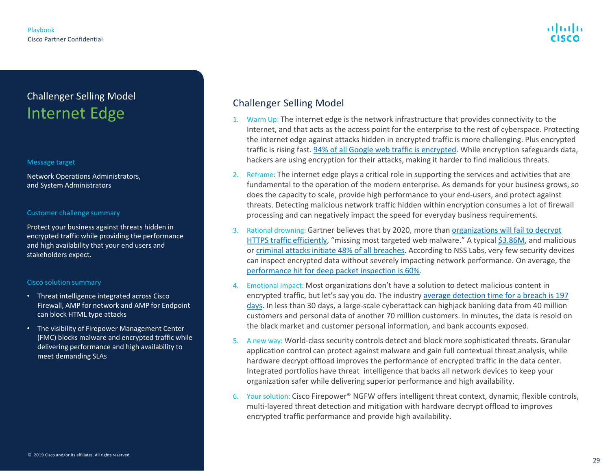# Challenger Selling Model Internet Edge

#### Message target

Network Operations Administrators, and System Administrators

#### Customer challenge summary

Protect your business against threats hidden in encrypted traffic while providing the performance and high availability that your end users and stakeholders expect.

#### Cisco solution summary

- Threat intelligence integrated across Cisco Firewall, AMP for network and AMP for Endpoint can block HTML type attacks
- The visibility of Firepower Management Center (FMC) blocks malware and encrypted traffic while delivering performance and high availability to meet demanding SLAs

- 1. Warm  $Up:$  The internet edge is the network infrastructure that provides connectivity to the Internet, and that acts as the access point for the enterprise to the rest of cyberspace. Protecting the internet edge against attacks hidden in encrypted traffic is more challenging. Plus encrypted traffic is rising fast. [94% of all Google web traffic is encrypted](https://www.cisco.com/c/dam/en/us/solutions/collateral/enterprise-networks/enterprise-network-security/nb-09-encrytd-traf-anlytcs-wp-cte-en.pdf). While encryption safeguards data, hackers are using encryption for their attacks, making it harder to find malicious threats.
- 2. Reframe: The internet edge plays a critical role in supporting the services and activities that are fundamental to the operation of the modern enterprise. As demands for your business grows, so does the capacity to scale, provide high performance to your end-users, and protect against threats. Detecting malicious network traffic hidden within encryption consumes a lot of firewall processing and can negatively impact the speed for everyday business requirements.
- 3. Rational drowning: Gartner believes that by 2020, more than organizations will fail to decrypt [HTTPS traffic efficiently, "missing most targeted web malware." A typical \\$3.86M, and malic](https://www.ctsinet.com/seeing-threats-hidden-in-encrypted-traffic/)ious or [criminal attacks initiate 48% of all breaches](https://www.webopedia.com/quick_ref/topleveldomains/facts-about-cybersecurity.html). According to NSS Labs, very few security devices can inspect encrypted data without severely impacting network performance. On average, the [performance hit for deep packet inspection is 60%.](https://barac.io/2019/01/04/the-decryption-problem/)
- 4. Emotional impact: Most organizations don't have a solution to detect malicious content in encrypted traffic, but let's say you do. The industry average detection time for a breach is 197 [days. In less than 30 days, a large-scale cyberattack can highjack banking data from 40 million](https://www.varonis.com/blog/data-breach-response-times/)  customers and personal data of another 70 million customers. In minutes, the data is resold on the black market and customer personal information, and bank accounts exposed.
- 5. A new way: World-class security controls detect and block more sophisticated threats. Granular application control can protect against malware and gain full contextual threat analysis, while hardware decrypt offload improves the performance of encrypted traffic in the data center. Integrated portfolios have threat intelligence that backs all network devices to keep your organization safer while delivering superior performance and high availability.
- 6. Your solution: Cisco Firepower® NGFW offers intelligent threat context, dynamic, flexible controls, multi-layered threat detection and mitigation with hardware decrypt offload to improves encrypted traffic performance and provide high availability.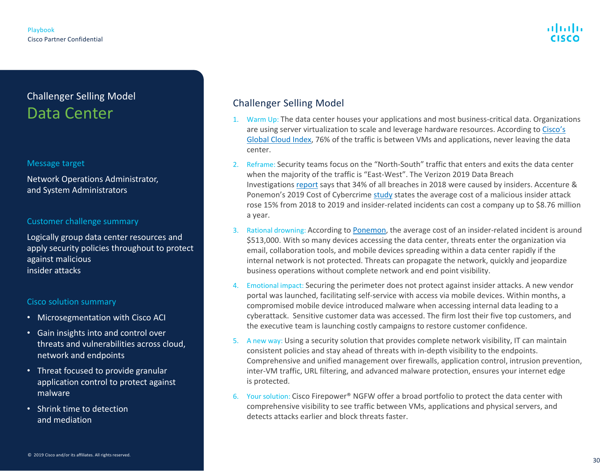# Challenger Selling Model Data Center

#### Message target

Network Operations Administrator, and System Administrators

#### Customer challenge summary

Logically group data center resources and apply security policies throughout to protect against malicious insider attacks

#### Cisco solution summary

- Microsegmentation with Cisco ACI
- Gain insights into and control over threats and vulnerabilities across cloud, network and endpoints
- Threat focused to provide granular application control to protect against malware
- Shrink time to detection and mediation

- 1. Warm Up: The data center houses your applications and most business-critical data. Organizations are using server virtualization to scale and leverage hardware resources. According to Cisco's [Global Cloud Index, 76% of the traffic is between VMs and applications, never leaving the dat](https://blogs.cisco.com/security/trends-in-data-center-security-part-1-traffic-trends)a center.
- 2. Reframe: Security teams focus on the "North-South" traffic that enters and exits the data center when the majority of the traffic is "East-West". The Verizon 2019 Data Breach Investigations [report](https://enterprise.verizon.com/resources/reports/2019-data-breach-investigations-report.pdf) says that 34% of all breaches in 2018 were caused by insiders. Accenture & Ponemon's 2019 Cost of Cybercrime [study](https://www.accenture.com/_acnmedia/PDF-96/Accenture-2019-Cost-of-Cybercrime-Study-Final.pdf) states the average cost of a malicious insider attack rose 15% from 2018 to 2019 and insider-related incidents can cost a company up to \$8.76 million a year.
- 3. Rational drowning: According to [Ponemon](https://153j3ttjub71nfe89mc7r5gb-wpengine.netdna-ssl.com/wp-content/uploads/2018/04/ObserveIT-Insider-Threat-Global-Report-FINAL.pdf), the average cost of an insider-related incident is around \$513,000. With so many devices accessing the data center, threats enter the organization via email, collaboration tools, and mobile devices spreading within a data center rapidly if the internal network is not protected. Threats can propagate the network, quickly and jeopardize business operations without complete network and end point visibility.
- 4. Emotional impact: Securing the perimeter does not protect against insider attacks. A new vendor portal was launched, facilitating self-service with access via mobile devices. Within months, a compromised mobile device introduced malware when accessing internal data leading to a cyberattack. Sensitive customer data was accessed. The firm lost their five top customers, and the executive team is launching costly campaigns to restore customer confidence.
- 5. A new way: Using a security solution that provides complete network visibility, IT can maintain consistent policies and stay ahead of threats with in-depth visibility to the endpoints. Comprehensive and unified management over firewalls, application control, intrusion prevention, inter-VM traffic, URL filtering, and advanced malware protection, ensures your internet edge is protected.
- 6. Your solution: Cisco Firepower® NGFW offer a broad portfolio to protect the data center with comprehensive visibility to see traffic between VMs, applications and physical servers, and detects attacks earlier and block threats faster.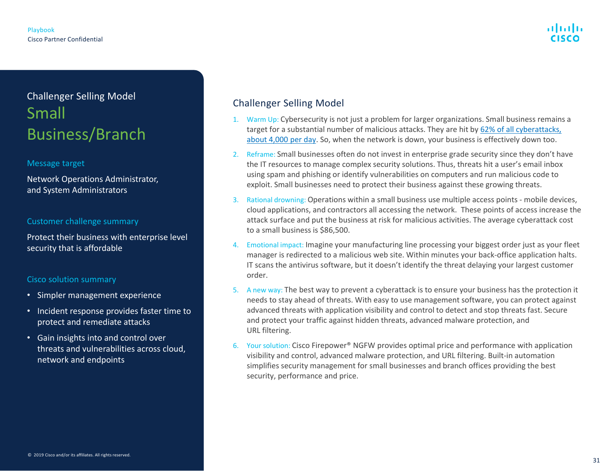# Challenger Selling Model Small Business/Branch

#### Message target

Network Operations Administrator, and System Administrators

#### Customer challenge summary

Protect their business with enterprise level security that is affordable

#### Cisco solution summary

- Simpler management experience
- Incident response provides faster time to protect and remediate attacks
- Gain insights into and control over threats and vulnerabilities across cloud, network and endpoints

- 1. Warm Up: Cybersecurity is not just a problem for larger organizations. Small business remains a target for a substantial number of malicious attacks. They are hit by 62% of all cyberattacks, [about 4,000 per day. So, when the network is down, your business is effectively down too.](https://www.cisco.com/c/en/us/solutions/small-business/security.html)
- 2. Reframe: Small businesses often do not invest in enterprise grade security since they don't have the IT resources to manage complex security solutions. Thus, threats hit a user's email inbox using spam and phishing or identify vulnerabilities on computers and run malicious code to exploit. Small businesses need to protect their business against these growing threats.
- 3. Rational drowning: Operations within a small business use multiple access points mobile devices, cloud applications, and contractors all accessing the network. These points of access increase the attack surface and put the business at risk for malicious activities. The average cyberattack cost to a small business is \$86,500.
- 4. Emotional impact: Imagine your manufacturing line processing your biggest order just as your fleet manager is redirected to a malicious web site. Within minutes your back-office application halts. IT scans the antivirus software, but it doesn't identify the threat delaying your largest customer order.
- 5. A new way: The best way to prevent a cyberattack is to ensure your business has the protection it needs to stay ahead of threats. With easy to use management software, you can protect against advanced threats with application visibility and control to detect and stop threats fast. Secure and protect your traffic against hidden threats, advanced malware protection, and URL filtering.
- 6. Your solution: Cisco Firepower® NGFW provides optimal price and performance with application visibility and control, advanced malware protection, and URL filtering. Built-in automation simplifies security management for small businesses and branch offices providing the best security, performance and price.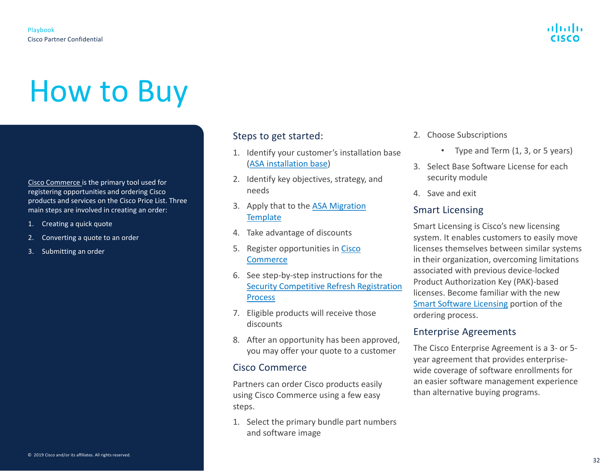# <span id="page-31-0"></span>How to Buy

[Cisco Commerce](https://cloudsso.cisco.com/as/authorization.oauth2?response_type=code&client_id=wam_prod_ac&redirect_uri=https%3A%2F%2Fapps.cisco.com%2Fpa%2Foidc%2Fcb&state=eyJ6aXAiOiJERUYiLCJhbGciOiJkaXIiLCJlbmMiOiJBMTI4Q0JDLUhTMjU2Iiwia2lkIjoiY2ciLCJzdWZmaXgiOiJMREV0eUsuMTU3MDgxNjY5NCJ9..FSqUsX0aaYbVQEMvo_ZyyA.Ox36UqxybXRMnbv6nIRpn0ayrzVHZiE2YqtQECxQG-v6P8cvxvbk_vb2V7N9k_yQuziDPgPv7cfVHGVtPmfEBLcPa7vFPWRegDKxBCLd7R68k8MooO18Z4r3xq59NAHA.PmfVZgwImCF_KNeeCYNKRA&nonce=k3KwWVL9Ky-Qf7j6AZtbQO64HggGl8yicKtPa9o1TcY&acr_values=stdnomfa&scope=openid%20profile%20address%20email%20phone&vnd_pi_requested_resource=https%3A%2F%2Fapps.cisco.com%2FCommerce%2Fhome%3Fdtid%3Dosscdc000283&vnd_pi_application_name=CAEAXprod-ccw.cloudapps) is the primary tool used for registering opportunities and ordering Cisco products and services on the Cisco Price List. Three main steps are involved in creating an order:

- 1. Creating a quick quote
- 2. Converting a quote to an order
- 3. Submitting an order

#### Steps to get started:

- 1. Identify your customer's installation base [\(ASA installation base](https://cloudsso.cisco.com/as/authorization.oauth2?response_type=code&client_id=wam_prod_ac&redirect_uri=https%3A%2F%2Fpiblm.cloudapps.cisco.com%2Fpa%2Foidc%2Fcb&state=eyJ6aXAiOiJERUYiLCJhbGciOiJkaXIiLCJlbmMiOiJBMTI4Q0JDLUhTMjU2Iiwia2lkIjoiZTQiLCJzdWZmaXgiOiJhWEd4alguMTU3MTg3MzUxMSJ9..GSI2tdkat94gGRDXdEcD7w.oxtncwnY5V1pxHNUfdwcHzoHlxldsGzrYGPJ74TH3gdlE7KUXEFz49VOVWN6UAjByaQci2O-RQPjhgGcfPk6OGKgTS6Y_wxi8GfIZxryrZ0qYIu9iLsE0E-WByQ1xcVq.Honf451JLzIe6D_OFHpBsQ&nonce=LPamTzLlBtlDyEfpXqI8fpnoKXAyAXWEnSlIlQd6pu4&acr_values=stdnomfa&scope=openid%20profile%20address%20email%20phone&vnd_pi_requested_resource=https%3A%2F%2Fpiblm.cloudapps.cisco.com%2Fpiblm%2Fr.action%3Fk%3Dmplxbd&vnd_pi_application_name=CAEAXprod-piblm.cloudapps))
- 2. Identify key objectives, strategy, and needs
- 3. [Apply that to the ASA Migration](https://cloudsso.cisco.com/idp/startSSO.ping?PartnerSpId=zift_cisco_prod#next-generation-threats) **Template**
- 4. Take advantage of discounts
- 5. [Register opportunities in Cisco](https://cloudsso.cisco.com/as/authorization.oauth2?response_type=code&client_id=wam_prod_ac&redirect_uri=https%3A%2F%2Fapps.cisco.com%2Fpa%2Foidc%2Fcb&state=eyJ6aXAiOiJERUYiLCJhbGciOiJkaXIiLCJlbmMiOiJBMTI4Q0JDLUhTMjU2Iiwia2lkIjoiZTQiLCJzdWZmaXgiOiJoRng3dEIuMTU3MTg3MzU5MiJ9..hd8zealxYLtzmpr4Plvp1Q.2uwni-ojlfIE4qdVNUX7O-fU7QFWuGO94XokigqQPUYh9loJrWxDSdT3qIlKx74_tIRj5Ng6eiTnFJufk7dl5UNrNPgIRNvHWYpxGVP5lLI.FxFaEJ5MpVAX_kG8hFeycw&nonce=OJwX7ExEORGfeWsp0uicXA4WhSg-1mhLhHY7cQaLHoQ&acr_values=stdnomfa&scope=openid%20profile%20address%20email%20phone&vnd_pi_requested_resource=https%3A%2F%2Fapps.cisco.com%2FCommerce%2Fhome&vnd_pi_application_name=CAEAXprod-ccw.cloudapps) **Commerce**
- 6. See step-by-step instructions for the [Security Competitive Refresh Registration](https://cloudsso.cisco.com/as/authorization.oauth2?response_type=code&client_id=wam_prod_ac&redirect_uri=https%3A%2F%2Fwww.cisco.com%2Fpa%2Foidc%2Fcb&state=eyJ6aXAiOiJERUYiLCJhbGciOiJkaXIiLCJlbmMiOiJBMTI4Q0JDLUhTMjU2Iiwia2lkIjoiZTQiLCJzdWZmaXgiOiJWaVVZV08uMTU3MTg3MzY0MiJ9..KGbJrZ_u5Esx1wYtiIe8Kg.es7usAIl1m0Znjj12GFl38BtNWJdtU74rYFYa7IkQBioGxBiB_7GlS0q1j7tp-Mtj4DIYmbiQAI_A4SdT4t-BvkQUAx0Ingsv0xamwnGWMApy7olJvl8wLfSIESbMXaUmo7EeBTjCfJZaO-VljouiWD2x_Bs1LSMVyj0FOHcL6d5IHFra32OlfidaqnHj4uj6Wxh7rONEVjvkNlx2_xe2A.DnFdWEnCqcHkkXqaQXqggA&nonce=Nzq7QE7mgrCu_jJAbsWDuUBobzoluTw6TIWT3CIA7XE&acr_values=stdnomfa&scope=openid%20profile%20address%20email%20phone&vnd_pi_requested_resource=https%3A%2F%2Fwww.cisco.com%2Fc%2Flogin%2Findex.html%3Freferer%3D%2Fc%2Fdam%2Fen_us%2Fpartners%2Fdownloads%2Fpartner%2FWWChannels%2Fpromotions%2Fdownload%2Fsecurity-migration-registration.pdf&vnd_pi_application_name=CDCprod-www) Process
- 7. Eligible products will receive those discounts
- 8. After an opportunity has been approved, you may offer your quote to a customer

#### Cisco Commerce

Partners can order Cisco products easily using Cisco Commerce using a few easy steps.

1. Select the primary bundle part numbers and software image

- 2. Choose Subscriptions
	- Type and Term (1, 3, or 5 years)
- 3. Select Base Software License for each security module
- 4. Save and exit

#### Smart Licensing

Smart Licensing is Cisco's new licensing system. It enables customers to easily move licenses themselves between similar systems in their organization, overcoming limitations associated with previous device-locked Product Authorization Key (PAK)-based licenses. Become familiar with the new [Smart Software Licensing](https://www.cisco.com/c/en/us/products/software/smart-accounts/software-licensing.html) portion of the ordering process.

#### Enterprise Agreements

The Cisco Enterprise Agreement is a 3- or 5 year agreement that provides enterprisewide coverage of software enrollments for an easier software management experience than alternative buying programs.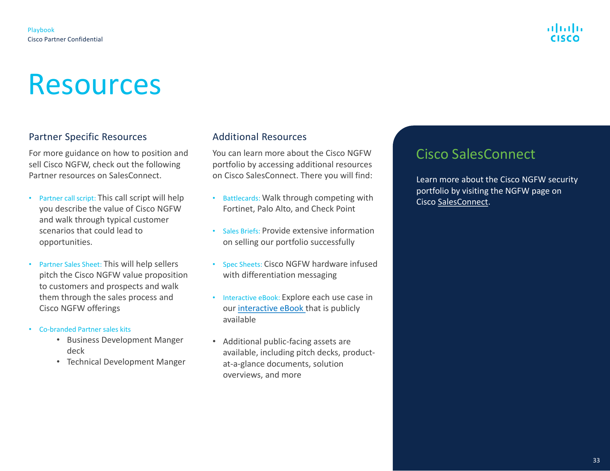# Resources

### Partner Specific Resources

For more guidance on how to position and sell Cisco NGFW, check out the following Partner resources on SalesConnect.

- Partner call script: This call script will help you describe the value of Cisco NGFW and walk through typical customer scenarios that could lead to opportunities.
- Partner Sales Sheet: This will help sellers pitch the Cisco NGFW value proposition to customers and prospects and walk them through the sales process and Cisco NGFW offerings
- Co-branded Partner sales kits
	- Business Development Manger deck
	- Technical Development Manger

#### Additional Resources

You can learn more about the Cisco NGFW portfolio by accessing additional resources on Cisco SalesConnect. There you will find:

- Battlecards: Walk through competing with Fortinet, Palo Alto, and Check Point
- Sales Briefs: Provide extensive information on selling our portfolio successfully
- Spec Sheets: Cisco NGFW hardware infused with differentiation messaging
- Interactive eBook: Explore each use case in our [interactive eBook t](https://www.cisco.com/c/m/en_us/products/security/firewalls/ngfw-ebook.html?ccid=cc000155&dtid=odicdc000016&oid=ebksc013707)hat is publicly available
- Additional public-facing assets are available, including pitch decks, productat-a-glance documents, solution overviews, and more

## Cisco SalesConnect

Learn more about the Cisco NGFW security portfolio by visiting the NGFW page on Cisco [SalesConnect.](https://cloudsso.cisco.com/as/authorization.oauth2?response_type=code&client_id=wam_prod_ac&redirect_uri=https%3A%2F%2Fsalesconnect.cisco.com%2Fpa%2Foidc%2Fcb&state=eyJ6aXAiOiJERUYiLCJhbGciOiJkaXIiLCJlbmMiOiJBMTI4Q0JDLUhTMjU2Iiwia2lkIjoiY2ciLCJzdWZmaXgiOiJPb2ZmNEsuMTU3MDgxNzkzOCJ9..jpqyfG5rRAagAsvkb0QTvw.vCSlFWRhSqBUyG9-YFRFHlmAnyBViY0_QvQbUI3692p7zC-D3jCFn_nJLX5Xjy9MQ_2WkpeIa84DAzaquoaUBHe_HXBT0AL7to-YCwqT_Qz0xFsJ8ZBdCFwcb0SqHlemn5_e822_rfs0Ggl3NG7lUQ.z90z9aSL3COcec7KbRH0mw&nonce=BF-mCk-_qhrIjjeEuj2izpltSDDkBEBQi0fVFeCZwi8&acr_values=stdnomfa&scope=openid%20profile%20address%20email%20phone&vnd_pi_requested_resource=https%3A%2F%2Fsalesconnect.cisco.com%2Fc%2Flogin%2Findex.html%3Freferer%3D%2Fc%2Fr%2Fsalesconnect%2Findex.html&vnd_pi_application_name=CDCprod-www-realm)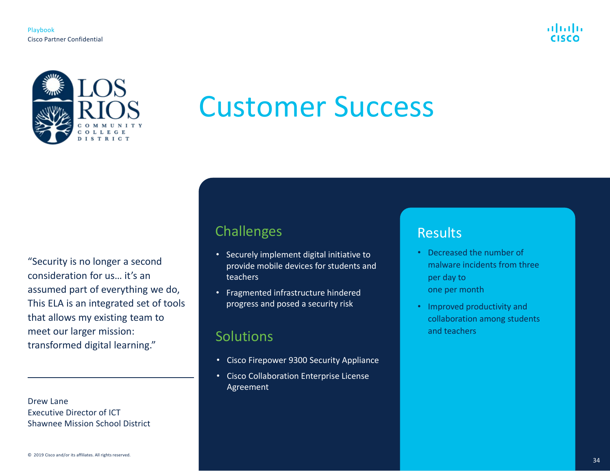

<span id="page-33-0"></span>

# Customer Success

"Security is no longer a second consideration for us… it's an assumed part of everything we do, This ELA is an integrated set of tools that allows my existing team to meet our larger mission: transformed digital learning."

Drew Lane Executive Director of ICT Shawnee Mission School District

## Challenges

- Securely implement digital initiative to provide mobile devices for students and teachers
- Fragmented infrastructure hindered progress and posed a security risk

## **Solutions**

- Cisco Firepower 9300 Security Appliance
- Cisco Collaboration Enterprise License Agreement

## **Results**

- Decreased the number of malware incidents from three per day to one per month
- Improved productivity and collaboration among students and teachers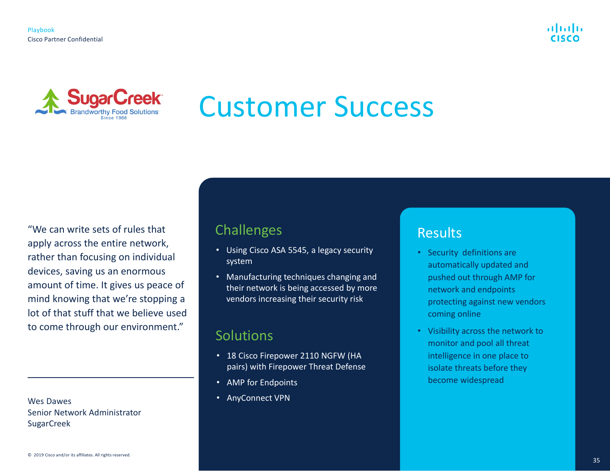



# Customer Success

"We can write sets of rules that apply across the entire network, rather than focusing on individual devices, saving us an enormous amount of time. It gives us peace of mind knowing that we're stopping a lot of that stuff that we believe used to come through our environment."

Wes Dawes Senior Network Administrator SugarCreek

# **Challenges**

- Using Cisco ASA 5545, a legacy security system
- Manufacturing techniques changing and their network is being accessed by more vendors increasing their security risk

## **Solutions**

- 18 Cisco Firepower 2110 NGFW (HA pairs) with Firepower Threat Defense
- AMP for Endpoints
- AnyConnect VPN

## Results

- Security definitions are automatically updated and pushed out through AMP for network and endpoints protecting against new vendors coming online
- Visibility across the network to monitor and pool all threat intelligence in one place to isolate threats before they become widespread